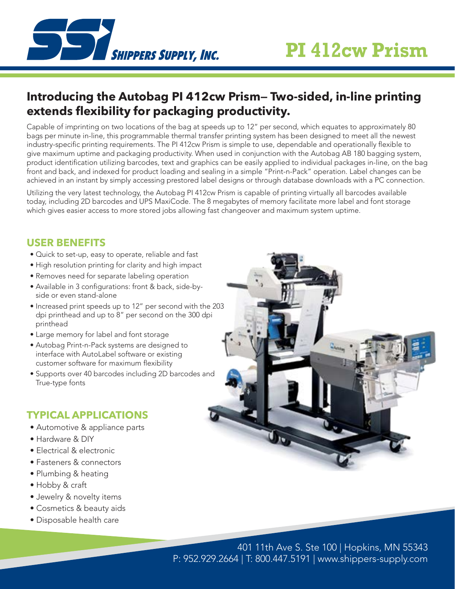

## **Introducing the Autobag PI 412cw Prism— Two-sided, in-line printing extends flexibility for packaging productivity.**

Capable of imprinting on two locations of the bag at speeds up to 12" per second, which equates to approximately 80 bags per minute in-line, this programmable thermal transfer printing system has been designed to meet all the newest industry-specific printing requirements. The PI 412cw Prism is simple to use, dependable and operationally flexible to give maximum uptime and packaging productivity. When used in conjunction with the Autobag AB 180 bagging system, product identification utilizing barcodes, text and graphics can be easily applied to individual packages in-line, on the bag front and back, and indexed for product loading and sealing in a simple "Print-n-Pack" operation. Label changes can be achieved in an instant by simply accessing prestored label designs or through database downloads with a PC connection.

Utilizing the very latest technology, the Autobag PI 412cw Prism is capable of printing virtually all barcodes available today, including 2D barcodes and UPS MaxiCode. The 8 megabytes of memory facilitate more label and font storage which gives easier access to more stored jobs allowing fast changeover and maximum system uptime.

#### **USER BENEFITS**

- Quick to set-up, easy to operate, reliable and fast
- High resolution printing for clarity and high impact
- Removes need for separate labeling operation
- Available in 3 configurations: front & back, side-byside or even stand-alone
- Increased print speeds up to 12" per second with the 203 dpi printhead and up to 8" per second on the 300 dpi printhead
- Large memory for label and font storage
- Autobag Print-n-Pack systems are designed to interface with AutoLabel software or existing customer software for maximum flexibility
- Supports over 40 barcodes including 2D barcodes and True-type fonts

### **TYPICAL APPLICATIONS**

- Automotive & appliance parts
- Hardware & DIY
- Electrical & electronic
- Fasteners & connectors
- Plumbing & heating
- Hobby & craft
- Jewelry & novelty items
- Cosmetics & beauty aids
- Disposable health care



P: 952.929.2664 | T: 800.447.5191 | www.shippers-supply.com